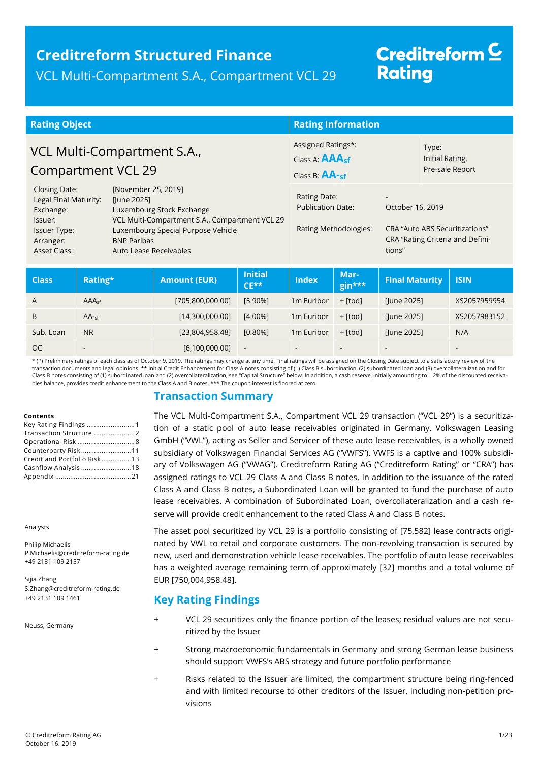### **Creditreform Structured Finance** VCL Multi-Compartment S.A., Compartment VCL 29

# Creditreform<sup>C</sup> **Rating**

| <b>Rating Object</b>                                                                                               |                                                                                                                                                                                                         | <b>Rating Information</b>                                                   |                                                                   |                                             |                                                        |                                                                    |
|--------------------------------------------------------------------------------------------------------------------|---------------------------------------------------------------------------------------------------------------------------------------------------------------------------------------------------------|-----------------------------------------------------------------------------|-------------------------------------------------------------------|---------------------------------------------|--------------------------------------------------------|--------------------------------------------------------------------|
| VCL Multi-Compartment S.A.,<br>Compartment VCL 29                                                                  |                                                                                                                                                                                                         | Assigned Ratings*:<br>Class A: <b>AAA<sub>sf</sub></b><br>Class B: $AA$ -sf |                                                                   | Type:<br>Initial Rating,<br>Pre-sale Report |                                                        |                                                                    |
| <b>Closing Date:</b><br>Legal Final Maturity:<br>Exchange:<br>Issuer:<br>Issuer Type:<br>Arranger:<br>Asset Class: | [November 25, 2019]<br>[June 2025]<br>Luxembourg Stock Exchange<br>VCL Multi-Compartment S.A., Compartment VCL 29<br>Luxembourg Special Purpose Vehicle<br><b>BNP Paribas</b><br>Auto Lease Receivables |                                                                             | Rating Date:<br><b>Publication Date:</b><br>Rating Methodologies: |                                             | $\overline{\phantom{a}}$<br>October 16, 2019<br>tions" | CRA "Auto ABS Securitizations"<br>CRA "Rating Criteria and Defini- |
|                                                                                                                    |                                                                                                                                                                                                         | Initial                                                                     | Mar.                                                              |                                             |                                                        |                                                                    |

| <b>Class</b>  | Rating*                  | <b>Amount (EUR)</b> | <b>Initial</b><br>$CE**$ | <b>Index</b>           | Mar-<br>gin***           | <b>Final Maturity</b>    | <b>ISIN</b>              |
|---------------|--------------------------|---------------------|--------------------------|------------------------|--------------------------|--------------------------|--------------------------|
| $\mathsf{A}$  | AAA <sub>cf</sub>        | [705,800,000.00]    | $[5.90\%]$               | 1 <sub>m</sub> Euribor | + [tbd]                  | [June 2025]              | XS2057959954             |
| B             | $AA$ -sf                 | [14,300,000.00]     | $[4.00\%]$               | 1 <sub>m</sub> Euribor | $+$ [tbd]                | [June 2025]              | XS2057983152             |
| Sub. Loan     | N <sub>R</sub>           | [23,804,958.48]     | $[0.80\%]$               | 1m Euribor             | + [tbd]                  | [June 2025]              | N/A                      |
| <sub>OC</sub> | $\overline{\phantom{a}}$ | [6,100,000.00]      | $\overline{\phantom{a}}$ | $\sim$                 | $\overline{\phantom{a}}$ | $\overline{\phantom{0}}$ | $\overline{\phantom{0}}$ |

\* (P) Preliminary ratings of each class as of October 9, 2019. The ratings may change at any time. Final ratings will be assigned on the Closing Date subject to a satisfactory review of the transaction documents and legal opinions. \*\* Initial Credit Enhancement for Class A notes consisting of (1) Class B subordination, (2) subordinated loan and (3) overcollateralization and for Class B notes consisting of (1) subordinated loan and (2) overcollateralization, see "Capital Structure" below. In addition, a cash reserve, initially amounting to 1.2% of the discounted receivables balance, provides credit enhancement to the Class A and B notes. \*\*\* The coupon interest is floored at zero.

### **Transaction Summary**

#### **Contents**

| Transaction Structure 2     |  |
|-----------------------------|--|
|                             |  |
| Counterparty Risk11         |  |
| Credit and Portfolio Risk13 |  |
| Cashflow Analysis 18        |  |
|                             |  |

Analysts

Philip Michaelis P.Michaelis@creditreform-rating.de +49 2131 109 2157

<span id="page-0-0"></span>Sijia Zhang S.Zhang@creditreform-rating.de +49 2131 109 1461

Neuss, Germany

The VCL Multi-Compartment S.A., Compartment VCL 29 transaction ("VCL 29") is a securitization of a static pool of auto lease receivables originated in Germany. Volkswagen Leasing GmbH ("VWL"), acting as Seller and Servicer of these auto lease receivables, is a wholly owned subsidiary of Volkswagen Financial Services AG ("VWFS"). VWFS is a captive and 100% subsidiary of Volkswagen AG ("VWAG"). Creditreform Rating AG ("Creditreform Rating" or "CRA") has assigned ratings to VCL 29 Class A and Class B notes. In addition to the issuance of the rated Class A and Class B notes, a Subordinated Loan will be granted to fund the purchase of auto lease receivables. A combination of Subordinated Loan, overcollateralization and a cash reserve will provide credit enhancement to the rated Class A and Class B notes.

The asset pool securitized by VCL 29 is a portfolio consisting of [75,582] lease contracts originated by VWL to retail and corporate customers. The non-revolving transaction is secured by new, used and demonstration vehicle lease receivables. The portfolio of auto lease receivables has a weighted average remaining term of approximately [32] months and a total volume of EUR [750,004,958.48].

### **Key Rating Findings**

- + VCL 29 securitizes only the finance portion of the leases; residual values are not securitized by the Issuer
- Strong macroeconomic fundamentals in Germany and strong German lease business should support VWFS's ABS strategy and future portfolio performance
- Risks related to the Issuer are limited, the compartment structure being ring-fenced and with limited recourse to other creditors of the Issuer, including non-petition provisions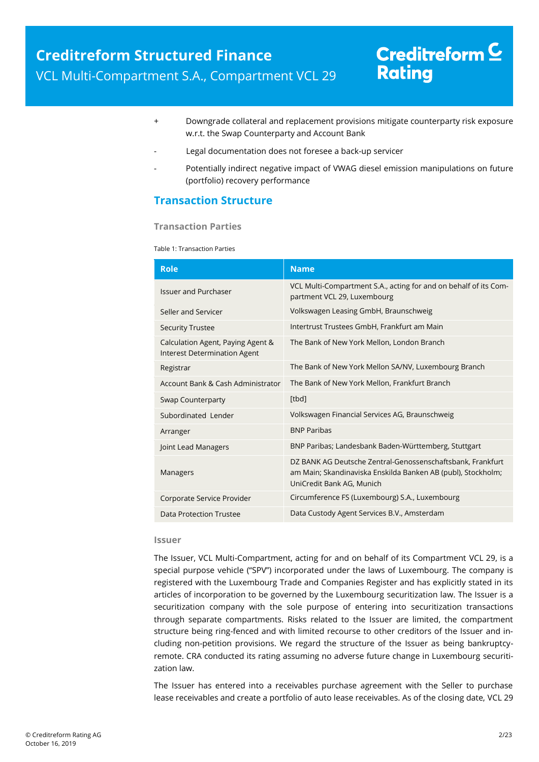- + Downgrade collateral and replacement provisions mitigate counterparty risk exposure w.r.t. the Swap Counterparty and Account Bank
- Legal documentation does not foresee a back-up servicer
- Potentially indirect negative impact of VWAG diesel emission manipulations on future (portfolio) recovery performance

### <span id="page-1-0"></span>**Transaction Structure**

### **Transaction Parties**

Table 1: Transaction Parties

| <b>Role</b>                                                              | <b>Name</b>                                                                                                                                             |
|--------------------------------------------------------------------------|---------------------------------------------------------------------------------------------------------------------------------------------------------|
| <b>Issuer and Purchaser</b>                                              | VCL Multi-Compartment S.A., acting for and on behalf of its Com-<br>partment VCL 29, Luxembourg                                                         |
| Seller and Servicer                                                      | Volkswagen Leasing GmbH, Braunschweig                                                                                                                   |
| <b>Security Trustee</b>                                                  | Intertrust Trustees GmbH, Frankfurt am Main                                                                                                             |
| Calculation Agent, Paying Agent &<br><b>Interest Determination Agent</b> | The Bank of New York Mellon, London Branch                                                                                                              |
| Registrar                                                                | The Bank of New York Mellon SA/NV, Luxembourg Branch                                                                                                    |
| Account Bank & Cash Administrator                                        | The Bank of New York Mellon, Frankfurt Branch                                                                                                           |
| <b>Swap Counterparty</b>                                                 | [tbd]                                                                                                                                                   |
| Subordinated Lender                                                      | Volkswagen Financial Services AG, Braunschweig                                                                                                          |
| Arranger                                                                 | <b>BNP Paribas</b>                                                                                                                                      |
| Joint Lead Managers                                                      | BNP Paribas; Landesbank Baden-Württemberg, Stuttgart                                                                                                    |
| Managers                                                                 | DZ BANK AG Deutsche Zentral-Genossenschaftsbank, Frankfurt<br>am Main; Skandinaviska Enskilda Banken AB (publ), Stockholm;<br>UniCredit Bank AG, Munich |
| Corporate Service Provider                                               | Circumference FS (Luxembourg) S.A., Luxembourg                                                                                                          |
| Data Protection Trustee                                                  | Data Custody Agent Services B.V., Amsterdam                                                                                                             |

#### **Issuer**

The Issuer, VCL Multi-Compartment, acting for and on behalf of its Compartment VCL 29, is a special purpose vehicle ("SPV") incorporated under the laws of Luxembourg. The company is registered with the Luxembourg Trade and Companies Register and has explicitly stated in its articles of incorporation to be governed by the Luxembourg securitization law. The Issuer is a securitization company with the sole purpose of entering into securitization transactions through separate compartments. Risks related to the Issuer are limited, the compartment structure being ring-fenced and with limited recourse to other creditors of the Issuer and including non-petition provisions. We regard the structure of the Issuer as being bankruptcyremote. CRA conducted its rating assuming no adverse future change in Luxembourg securitization law.

The Issuer has entered into a receivables purchase agreement with the Seller to purchase lease receivables and create a portfolio of auto lease receivables. As of the closing date, VCL 29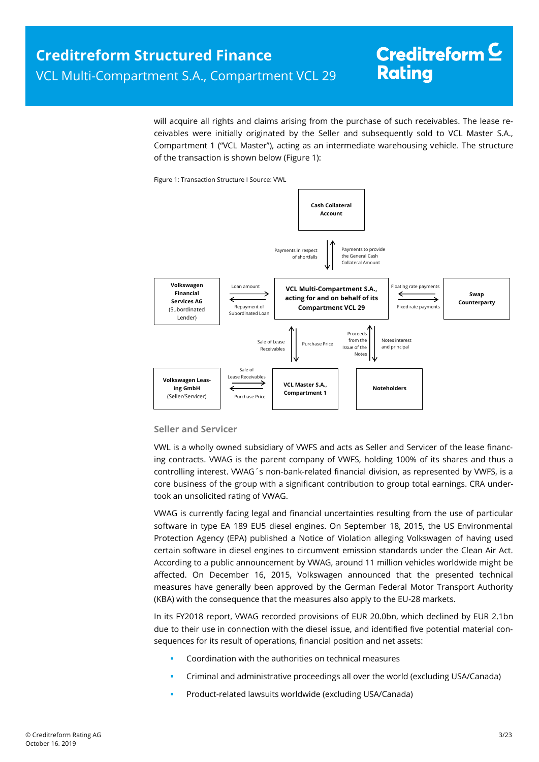will acquire all rights and claims arising from the purchase of such receivables. The lease receivables were initially originated by the Seller and subsequently sold to VCL Master S.A., Compartment 1 ("VCL Master"), acting as an intermediate warehousing vehicle. The structure of the transaction is shown below [\(Figure 1\)](#page-2-0):

Figure 1: Transaction Structure I Source: VWL

<span id="page-2-0"></span>

#### **Seller and Servicer**

VWL is a wholly owned subsidiary of VWFS and acts as Seller and Servicer of the lease financing contracts. VWAG is the parent company of VWFS, holding 100% of its shares and thus a controlling interest. VWAG´s non-bank-related financial division, as represented by VWFS, is a core business of the group with a significant contribution to group total earnings. CRA undertook an unsolicited rating of VWAG.

VWAG is currently facing legal and financial uncertainties resulting from the use of particular software in type EA 189 EU5 diesel engines. On September 18, 2015, the US Environmental Protection Agency (EPA) published a Notice of Violation alleging Volkswagen of having used certain software in diesel engines to circumvent emission standards under the Clean Air Act. According to a public announcement by VWAG, around 11 million vehicles worldwide might be affected. On December 16, 2015, Volkswagen announced that the presented technical measures have generally been approved by the German Federal Motor Transport Authority (KBA) with the consequence that the measures also apply to the EU-28 markets.

In its FY2018 report, VWAG recorded provisions of EUR 20.0bn, which declined by EUR 2.1bn due to their use in connection with the diesel issue, and identified five potential material consequences for its result of operations, financial position and net assets:

- Coordination with the authorities on technical measures
- Criminal and administrative proceedings all over the world (excluding USA/Canada)
- Product-related lawsuits worldwide (excluding USA/Canada)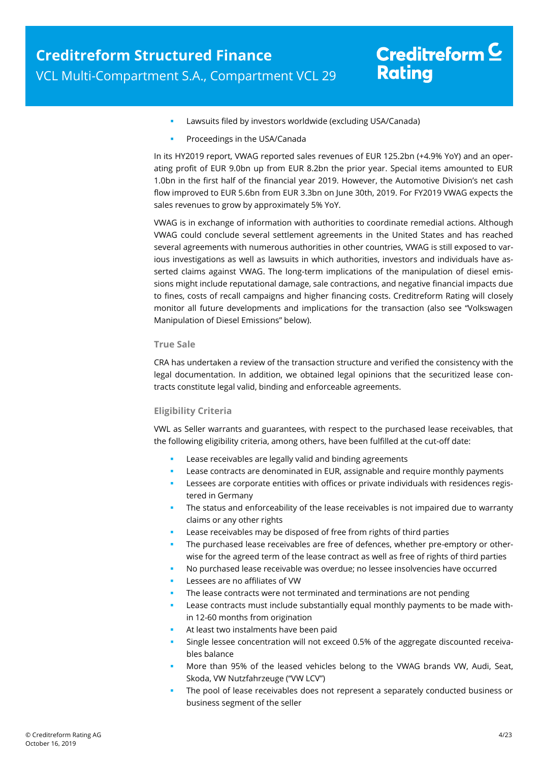- Lawsuits filed by investors worldwide (excluding USA/Canada)
- Proceedings in the USA/Canada

In its HY2019 report, VWAG reported sales revenues of EUR 125.2bn (+4.9% YoY) and an operating profit of EUR 9.0bn up from EUR 8.2bn the prior year. Special items amounted to EUR 1.0bn in the first half of the financial year 2019. However, the Automotive Division's net cash flow improved to EUR 5.6bn from EUR 3.3bn on June 30th, 2019. For FY2019 VWAG expects the sales revenues to grow by approximately 5% YoY.

VWAG is in exchange of information with authorities to coordinate remedial actions. Although VWAG could conclude several settlement agreements in the United States and has reached several agreements with numerous authorities in other countries, VWAG is still exposed to various investigations as well as lawsuits in which authorities, investors and individuals have asserted claims against VWAG. The long-term implications of the manipulation of diesel emissions might include reputational damage, sale contractions, and negative financial impacts due to fines, costs of recall campaigns and higher financing costs. Creditreform Rating will closely monitor all future developments and implications for the transaction (also see "Volkswagen Manipulation of Diesel Emissions" below).

### **True Sale**

CRA has undertaken a review of the transaction structure and verified the consistency with the legal documentation. In addition, we obtained legal opinions that the securitized lease contracts constitute legal valid, binding and enforceable agreements.

### **Eligibility Criteria**

VWL as Seller warrants and guarantees, with respect to the purchased lease receivables, that the following eligibility criteria, among others, have been fulfilled at the cut-off date:

- Lease receivables are legally valid and binding agreements
- Lease contracts are denominated in EUR, assignable and require monthly payments
- **Lessees are corporate entities with offices or private individuals with residences regis**tered in Germany
- The status and enforceability of the lease receivables is not impaired due to warranty claims or any other rights
- Lease receivables may be disposed of free from rights of third parties
- **The purchased lease receivables are free of defences, whether pre-emptory or other**wise for the agreed term of the lease contract as well as free of rights of third parties
- No purchased lease receivable was overdue; no lessee insolvencies have occurred
- Lessees are no affiliates of VW
- The lease contracts were not terminated and terminations are not pending
- Lease contracts must include substantially equal monthly payments to be made within 12-60 months from origination
- At least two instalments have been paid
- Single lessee concentration will not exceed 0.5% of the aggregate discounted receivables balance
- More than 95% of the leased vehicles belong to the VWAG brands VW, Audi, Seat, Skoda, VW Nutzfahrzeuge ("VW LCV")
- The pool of lease receivables does not represent a separately conducted business or business segment of the seller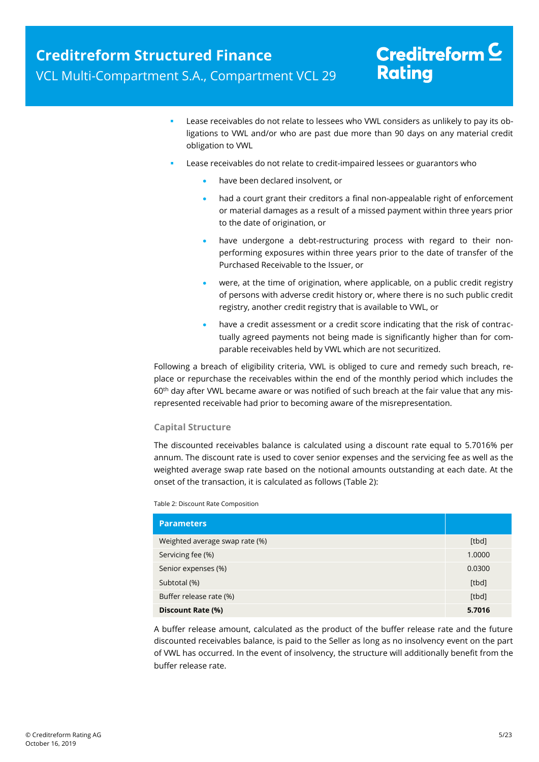- Lease receivables do not relate to lessees who VWL considers as unlikely to pay its obligations to VWL and/or who are past due more than 90 days on any material credit obligation to VWL
- Lease receivables do not relate to credit-impaired lessees or guarantors who
	- have been declared insolvent, or
	- had a court grant their creditors a final non-appealable right of enforcement or material damages as a result of a missed payment within three years prior to the date of origination, or
	- have undergone a debt-restructuring process with regard to their nonperforming exposures within three years prior to the date of transfer of the Purchased Receivable to the Issuer, or
	- were, at the time of origination, where applicable, on a public credit registry of persons with adverse credit history or, where there is no such public credit registry, another credit registry that is available to VWL, or
	- have a credit assessment or a credit score indicating that the risk of contractually agreed payments not being made is significantly higher than for comparable receivables held by VWL which are not securitized.

Following a breach of eligibility criteria, VWL is obliged to cure and remedy such breach, replace or repurchase the receivables within the end of the monthly period which includes the 60<sup>th</sup> day after VWL became aware or was notified of such breach at the fair value that any misrepresented receivable had prior to becoming aware of the misrepresentation.

### **Capital Structure**

The discounted receivables balance is calculated using a discount rate equal to 5.7016% per annum. The discount rate is used to cover senior expenses and the servicing fee as well as the weighted average swap rate based on the notional amounts outstanding at each date. At the onset of the transaction, it is calculated as follows [\(Table 2\)](#page-4-0):

<span id="page-4-0"></span>Table 2: Discount Rate Composition

| <b>Parameters</b>              |        |
|--------------------------------|--------|
| Weighted average swap rate (%) | [tbd]  |
| Servicing fee (%)              | 1.0000 |
| Senior expenses (%)            | 0.0300 |
| Subtotal (%)                   | [tbd]  |
| Buffer release rate (%)        | [tbd]  |
| Discount Rate (%)              | 5.7016 |

A buffer release amount, calculated as the product of the buffer release rate and the future discounted receivables balance, is paid to the Seller as long as no insolvency event on the part of VWL has occurred. In the event of insolvency, the structure will additionally benefit from the buffer release rate.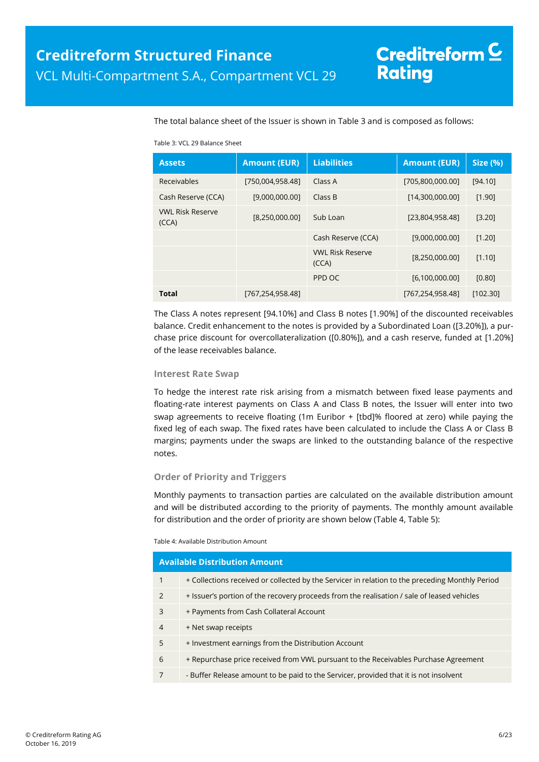The total balance sheet of the Issuer is shown in [Table 3](#page-5-0) and is composed as follows:

#### Table 3: VCL 29 Balance Sheet

<span id="page-5-0"></span>

| <b>Assets</b>                    | <b>Amount (EUR)</b> | <b>Liabilities</b>               | <b>Amount (EUR)</b> | <b>Size (%)</b> |
|----------------------------------|---------------------|----------------------------------|---------------------|-----------------|
| Receivables                      | [750,004,958.48]    | Class A                          | [705,800,000.00]    | [94.10]         |
| Cash Reserve (CCA)               | [9,000,000.00]      | Class B                          | [14,300,000.00]     | [1.90]          |
| <b>VWL Risk Reserve</b><br>(CCA) | [8,250,000.00]      | Sub Loan                         | [23,804,958.48]     | [3.20]          |
|                                  |                     | Cash Reserve (CCA)               | [9,000,000.00]      | [1.20]          |
|                                  |                     | <b>VWL Risk Reserve</b><br>(CCA) | [8,250,000.00]      | [1.10]          |
|                                  |                     | PPD OC                           | [6,100,000.00]      | [0.80]          |
| <b>Total</b>                     | [767,254,958.48]    |                                  | [767,254,958.48]    | [102.30]        |

The Class A notes represent [94.10%] and Class B notes [1.90%] of the discounted receivables balance. Credit enhancement to the notes is provided by a Subordinated Loan ([3.20%]), a purchase price discount for overcollateralization ([0.80%]), and a cash reserve, funded at [1.20%] of the lease receivables balance.

#### **Interest Rate Swap**

To hedge the interest rate risk arising from a mismatch between fixed lease payments and floating-rate interest payments on Class A and Class B notes, the Issuer will enter into two swap agreements to receive floating (1m Euribor + [tbd]% floored at zero) while paying the fixed leg of each swap. The fixed rates have been calculated to include the Class A or Class B margins; payments under the swaps are linked to the outstanding balance of the respective notes.

### **Order of Priority and Triggers**

Monthly payments to transaction parties are calculated on the available distribution amount and will be distributed according to the priority of payments. The monthly amount available for distribution and the order of priority are shown below [\(Table 4,](#page-5-1) [Table 5\)](#page-6-0):

#### <span id="page-5-1"></span>Table 4: Available Distribution Amount

|                | <b>Available Distribution Amount</b>                                                            |
|----------------|-------------------------------------------------------------------------------------------------|
| $\mathbf{1}$   | + Collections received or collected by the Servicer in relation to the preceding Monthly Period |
| 2              | + Issuer's portion of the recovery proceeds from the realisation / sale of leased vehicles      |
| 3              | + Payments from Cash Collateral Account                                                         |
| $\overline{4}$ | + Net swap receipts                                                                             |
| 5              | + Investment earnings from the Distribution Account                                             |
| 6              | + Repurchase price received from VWL pursuant to the Receivables Purchase Agreement             |
| 7              | - Buffer Release amount to be paid to the Servicer, provided that it is not insolvent           |
|                |                                                                                                 |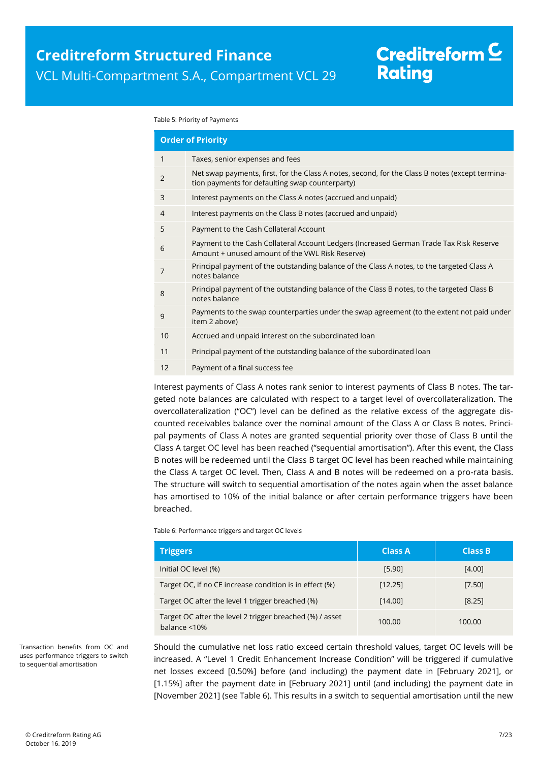#### <span id="page-6-1"></span><span id="page-6-0"></span>Table 5: Priority of Payments

|                | <b>Order of Priority</b>                                                                                                                           |
|----------------|----------------------------------------------------------------------------------------------------------------------------------------------------|
| $\mathbf{1}$   | Taxes, senior expenses and fees                                                                                                                    |
| $\overline{2}$ | Net swap payments, first, for the Class A notes, second, for the Class B notes (except termina-<br>tion payments for defaulting swap counterparty) |
| 3              | Interest payments on the Class A notes (accrued and unpaid)                                                                                        |
| $\overline{4}$ | Interest payments on the Class B notes (accrued and unpaid)                                                                                        |
| 5              | Payment to the Cash Collateral Account                                                                                                             |
| 6              | Payment to the Cash Collateral Account Ledgers (Increased German Trade Tax Risk Reserve<br>Amount + unused amount of the VWL Risk Reserve)         |
| 7              | Principal payment of the outstanding balance of the Class A notes, to the targeted Class A<br>notes balance                                        |
| 8              | Principal payment of the outstanding balance of the Class B notes, to the targeted Class B<br>notes balance                                        |
| 9              | Payments to the swap counterparties under the swap agreement (to the extent not paid under<br>item 2 above)                                        |
| 10             | Accrued and unpaid interest on the subordinated loan                                                                                               |
| 11             | Principal payment of the outstanding balance of the subordinated loan                                                                              |
| 12             | Payment of a final success fee                                                                                                                     |
|                |                                                                                                                                                    |

Interest payments of Class A notes rank senior to interest payments of Class B notes. The targeted note balances are calculated with respect to a target level of overcollateralization. The overcollateralization ("OC") level can be defined as the relative excess of the aggregate discounted receivables balance over the nominal amount of the Class A or Class B notes. Principal payments of Class A notes are granted sequential priority over those of Class B until the Class A target OC level has been reached ("sequential amortisation"). After this event, the Class B notes will be redeemed until the Class B target OC level has been reached while maintaining the Class A target OC level. Then, Class A and B notes will be redeemed on a pro-rata basis. The structure will switch to sequential amortisation of the notes again when the asset balance has amortised to 10% of the initial balance or after certain performance triggers have been breached.

Table 6: Performance triggers and target OC levels

| <b>Triggers</b>                                                                 | <b>Class A</b> | <b>Class B</b> |
|---------------------------------------------------------------------------------|----------------|----------------|
| Initial OC level (%)                                                            | [5.90]         | [4.00]         |
| Target OC, if no CE increase condition is in effect (%)                         | [12.25]        | [7.50]         |
| Target OC after the level 1 trigger breached (%)                                | [14.00]        | [8.25]         |
| Target OC after the level 2 trigger breached (%) / asset<br>balance $\leq 10\%$ | 100.00         | 100.00         |

Should the cumulative net loss ratio exceed certain threshold values, target OC levels will be increased. A "Level 1 Credit Enhancement Increase Condition" will be triggered if cumulative net losses exceed [0.50%] before (and including) the payment date in [February 2021], or [1.15%] after the payment date in [February 2021] until (and including) the payment date in [November 2021] (see Table 6). This results in a switch to sequential amortisation until the new

Transaction benefits from OC and uses performance triggers to switch to sequential amortisation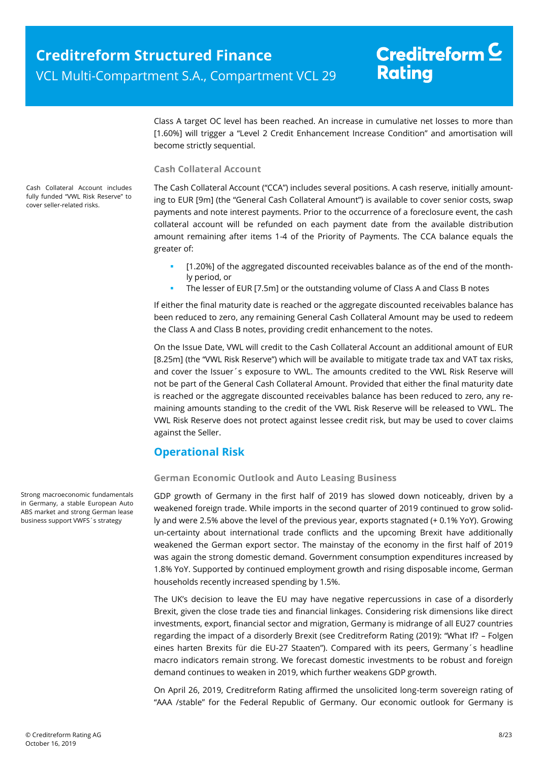Class A target OC level has been reached. An increase in cumulative net losses to more than [1.60%] will trigger a "Level 2 Credit Enhancement Increase Condition" and amortisation will become strictly sequential.

### **Cash Collateral Account**

The Cash Collateral Account ("CCA") includes several positions. A cash reserve, initially amounting to EUR [9m] (the "General Cash Collateral Amount") is available to cover senior costs, swap payments and note interest payments. Prior to the occurrence of a foreclosure event, the cash collateral account will be refunded on each payment date from the available distribution amount remaining after items 1-4 of the [Priority of Payments.](#page-6-1) The CCA balance equals the greater of:

- [1.20%] of the aggregated discounted receivables balance as of the end of the monthly period, or
- The lesser of EUR [7.5m] or the outstanding volume of Class A and Class B notes

If either the final maturity date is reached or the aggregate discounted receivables balance has been reduced to zero, any remaining General Cash Collateral Amount may be used to redeem the Class A and Class B notes, providing credit enhancement to the notes.

On the Issue Date, VWL will credit to the Cash Collateral Account an additional amount of EUR [8.25m] (the "VWL Risk Reserve") which will be available to mitigate trade tax and VAT tax risks, and cover the Issuer´s exposure to VWL. The amounts credited to the VWL Risk Reserve will not be part of the General Cash Collateral Amount. Provided that either the final maturity date is reached or the aggregate discounted receivables balance has been reduced to zero, any remaining amounts standing to the credit of the VWL Risk Reserve will be released to VWL. The VWL Risk Reserve does not protect against lessee credit risk, but may be used to cover claims against the Seller.

### <span id="page-7-0"></span>**Operational Risk**

### **German Economic Outlook and Auto Leasing Business**

GDP growth of Germany in the first half of 2019 has slowed down noticeably, driven by a weakened foreign trade. While imports in the second quarter of 2019 continued to grow solidly and were 2.5% above the level of the previous year, exports stagnated (+ 0.1% YoY). Growing un-certainty about international trade conflicts and the upcoming Brexit have additionally weakened the German export sector. The mainstay of the economy in the first half of 2019 was again the strong domestic demand. Government consumption expenditures increased by 1.8% YoY. Supported by continued employment growth and rising disposable income, German households recently increased spending by 1.5%.

The UK's decision to leave the EU may have negative repercussions in case of a disorderly Brexit, given the close trade ties and financial linkages. Considering risk dimensions like direct investments, export, financial sector and migration, Germany is midrange of all EU27 countries regarding the impact of a disorderly Brexit (see Creditreform Rating (2019): "What If? – Folgen eines harten Brexits für die EU-27 Staaten"). Compared with its peers, Germany´s headline macro indicators remain strong. We forecast domestic investments to be robust and foreign demand continues to weaken in 2019, which further weakens GDP growth.

On April 26, 2019, Creditreform Rating affirmed the unsolicited long-term sovereign rating of "AAA /stable" for the Federal Republic of Germany. Our economic outlook for Germany is

Cash Collateral Account includes fully funded "VWL Risk Reserve" to cover seller-related risks.

Strong macroeconomic fundamentals in Germany, a stable European Auto ABS market and strong German lease business support VWFS´s strategy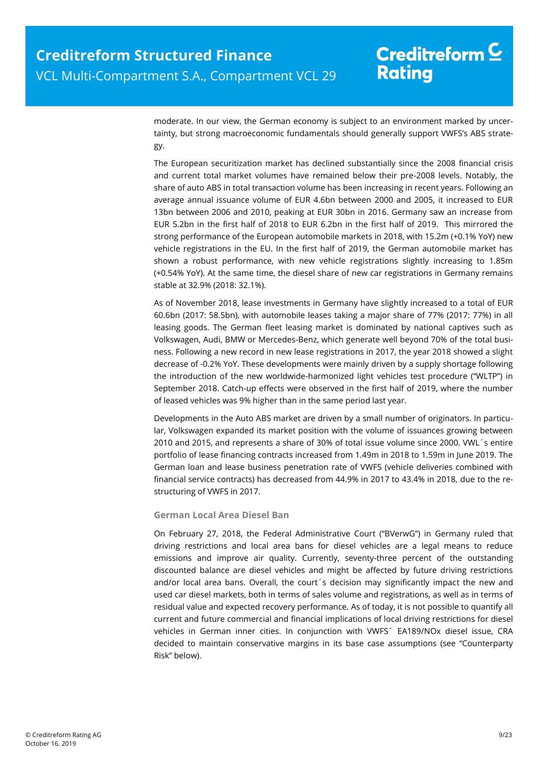moderate. In our view, the German economy is subject to an environment marked by uncertainty, but strong macroeconomic fundamentals should generally support VWFS's ABS strategy.

The European securitization market has declined substantially since the 2008 financial crisis and current total market volumes have remained below their pre-2008 levels. Notably, the share of auto ABS in total transaction volume has been increasing in recent years. Following an average annual issuance volume of EUR 4.6bn between 2000 and 2005, it increased to EUR 13bn between 2006 and 2010, peaking at EUR 30bn in 2016. Germany saw an increase from EUR 5.2bn in the first half of 2018 to EUR 6.2bn in the first half of 2019. This mirrored the strong performance of the European automobile markets in 2018, with 15.2m (+0.1% YoY) new vehicle registrations in the EU. In the first half of 2019, the German automobile market has shown a robust performance, with new vehicle registrations slightly increasing to 1.85m (+0.54% YoY). At the same time, the diesel share of new car registrations in Germany remains stable at 32.9% (2018: 32.1%).

As of November 2018, lease investments in Germany have slightly increased to a total of EUR 60.6bn (2017: 58.5bn), with automobile leases taking a major share of 77% (2017: 77%) in all leasing goods. The German fleet leasing market is dominated by national captives such as Volkswagen, Audi, BMW or Mercedes-Benz, which generate well beyond 70% of the total business. Following a new record in new lease registrations in 2017, the year 2018 showed a slight decrease of -0.2% YoY. These developments were mainly driven by a supply shortage following the introduction of the new worldwide-harmonized light vehicles test procedure ("WLTP") in September 2018. Catch-up effects were observed in the first half of 2019, where the number of leased vehicles was 9% higher than in the same period last year.

Developments in the Auto ABS market are driven by a small number of originators. In particular, Volkswagen expanded its market position with the volume of issuances growing between 2010 and 2015, and represents a share of 30% of total issue volume since 2000. VWL´s entire portfolio of lease financing contracts increased from 1.49m in 2018 to 1.59m in June 2019. The German loan and lease business penetration rate of VWFS (vehicle deliveries combined with financial service contracts) has decreased from 44.9% in 2017 to 43.4% in 2018, due to the restructuring of VWFS in 2017.

### **German Local Area Diesel Ban**

On February 27, 2018, the Federal Administrative Court ("BVerwG") in Germany ruled that driving restrictions and local area bans for diesel vehicles are a legal means to reduce emissions and improve air quality. Currently, seventy-three percent of the outstanding discounted balance are diesel vehicles and might be affected by future driving restrictions and/or local area bans. Overall, the court´s decision may significantly impact the new and used car diesel markets, both in terms of sales volume and registrations, as well as in terms of residual value and expected recovery performance. As of today, it is not possible to quantify all current and future commercial and financial implications of local driving restrictions for diesel vehicles in German inner cities. In conjunction with VWFS´ EA189/NOx diesel issue, CRA decided to maintain conservative margins in its base case assumptions (see "Counterparty Risk" below).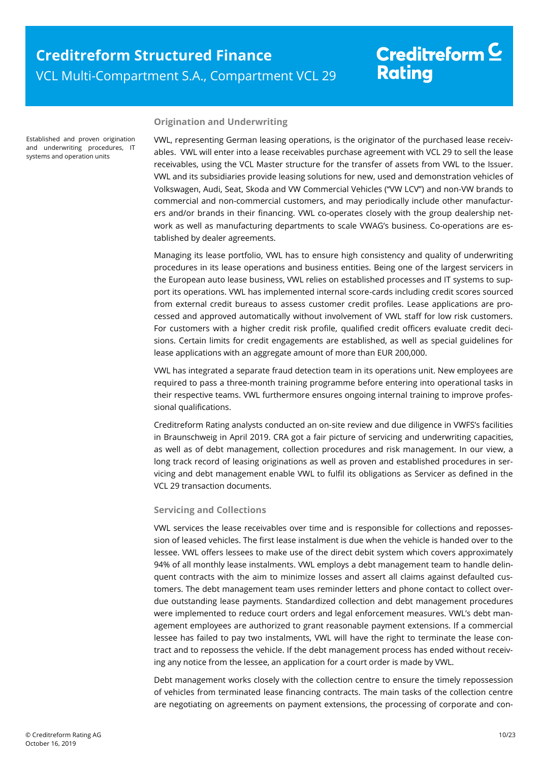Established and proven origination and underwriting procedures, IT systems and operation units

### **Origination and Underwriting**

VWL, representing German leasing operations, is the originator of the purchased lease receivables. VWL will enter into a lease receivables purchase agreement with VCL 29 to sell the lease receivables, using the VCL Master structure for the transfer of assets from VWL to the Issuer. VWL and its subsidiaries provide leasing solutions for new, used and demonstration vehicles of Volkswagen, Audi, Seat, Skoda and VW Commercial Vehicles ("VW LCV") and non-VW brands to commercial and non-commercial customers, and may periodically include other manufacturers and/or brands in their financing. VWL co-operates closely with the group dealership network as well as manufacturing departments to scale VWAG's business. Co-operations are established by dealer agreements.

Managing its lease portfolio, VWL has to ensure high consistency and quality of underwriting procedures in its lease operations and business entities. Being one of the largest servicers in the European auto lease business, VWL relies on established processes and IT systems to support its operations. VWL has implemented internal score-cards including credit scores sourced from external credit bureaus to assess customer credit profiles. Lease applications are processed and approved automatically without involvement of VWL staff for low risk customers. For customers with a higher credit risk profile, qualified credit officers evaluate credit decisions. Certain limits for credit engagements are established, as well as special guidelines for lease applications with an aggregate amount of more than EUR 200,000.

VWL has integrated a separate fraud detection team in its operations unit. New employees are required to pass a three-month training programme before entering into operational tasks in their respective teams. VWL furthermore ensures ongoing internal training to improve professional qualifications.

Creditreform Rating analysts conducted an on-site review and due diligence in VWFS's facilities in Braunschweig in April 2019. CRA got a fair picture of servicing and underwriting capacities, as well as of debt management, collection procedures and risk management. In our view, a long track record of leasing originations as well as proven and established procedures in servicing and debt management enable VWL to fulfil its obligations as Servicer as defined in the VCL 29 transaction documents.

### <span id="page-9-0"></span>**Servicing and Collections**

VWL services the lease receivables over time and is responsible for collections and repossession of leased vehicles. The first lease instalment is due when the vehicle is handed over to the lessee. VWL offers lessees to make use of the direct debit system which covers approximately 94% of all monthly lease instalments. VWL employs a debt management team to handle delinquent contracts with the aim to minimize losses and assert all claims against defaulted customers. The debt management team uses reminder letters and phone contact to collect overdue outstanding lease payments. Standardized collection and debt management procedures were implemented to reduce court orders and legal enforcement measures. VWL's debt management employees are authorized to grant reasonable payment extensions. If a commercial lessee has failed to pay two instalments, VWL will have the right to terminate the lease contract and to repossess the vehicle. If the debt management process has ended without receiving any notice from the lessee, an application for a court order is made by VWL.

Debt management works closely with the collection centre to ensure the timely repossession of vehicles from terminated lease financing contracts. The main tasks of the collection centre are negotiating on agreements on payment extensions, the processing of corporate and con-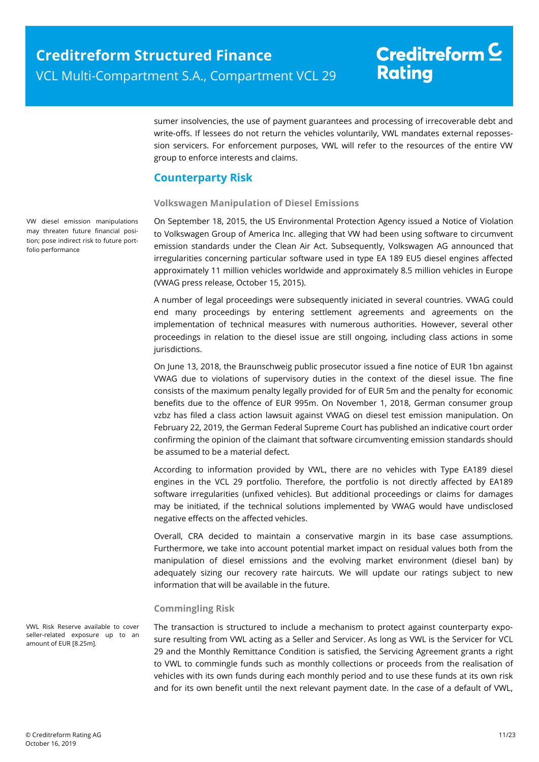sumer insolvencies, the use of payment guarantees and processing of irrecoverable debt and write-offs. If lessees do not return the vehicles voluntarily, VWL mandates external repossession servicers. For enforcement purposes, VWL will refer to the resources of the entire VW group to enforce interests and claims.

### <span id="page-10-0"></span>**Counterparty Risk**

### **Volkswagen Manipulation of Diesel Emissions**

On September 18, 2015, the US Environmental Protection Agency issued a Notice of Violation to Volkswagen Group of America Inc. alleging that VW had been using software to circumvent emission standards under the Clean Air Act. Subsequently, Volkswagen AG announced that irregularities concerning particular software used in type EA 189 EU5 diesel engines affected approximately 11 million vehicles worldwide and approximately 8.5 million vehicles in Europe (VWAG press release, October 15, 2015).

A number of legal proceedings were subsequently iniciated in several countries. VWAG could end many proceedings by entering settlement agreements and agreements on the implementation of technical measures with numerous authorities. However, several other proceedings in relation to the diesel issue are still ongoing, including class actions in some jurisdictions.

On June 13, 2018, the Braunschweig public prosecutor issued a fine notice of EUR 1bn against VWAG due to violations of supervisory duties in the context of the diesel issue. The fine consists of the maximum penalty legally provided for of EUR 5m and the penalty for economic benefits due to the offence of EUR 995m. On November 1, 2018, German consumer group vzbz has filed a class action lawsuit against VWAG on diesel test emission manipulation. On February 22, 2019, the German Federal Supreme Court has published an indicative court order confirming the opinion of the claimant that software circumventing emission standards should be assumed to be a material defect.

According to information provided by VWL, there are no vehicles with Type EA189 diesel engines in the VCL 29 portfolio. Therefore, the portfolio is not directly affected by EA189 software irregularities (unfixed vehicles). But additional proceedings or claims for damages may be initiated, if the technical solutions implemented by VWAG would have undisclosed negative effects on the affected vehicles.

Overall, CRA decided to maintain a conservative margin in its base case assumptions. Furthermore, we take into account potential market impact on residual values both from the manipulation of diesel emissions and the evolving market environment (diesel ban) by adequately sizing our recovery rate haircuts. We will update our ratings subject to new information that will be available in the future.

### **Commingling Risk**

The transaction is structured to include a mechanism to protect against counterparty exposure resulting from VWL acting as a Seller and Servicer. As long as VWL is the Servicer for VCL 29 and the Monthly Remittance Condition is satisfied, the Servicing Agreement grants a right to VWL to commingle funds such as monthly collections or proceeds from the realisation of vehicles with its own funds during each monthly period and to use these funds at its own risk and for its own benefit until the next relevant payment date. In the case of a default of VWL,

VW diesel emission manipulations may threaten future financial position; pose indirect risk to future portfolio performance

VWL Risk Reserve available to cover seller-related exposure up to an amount of EUR [8.25m].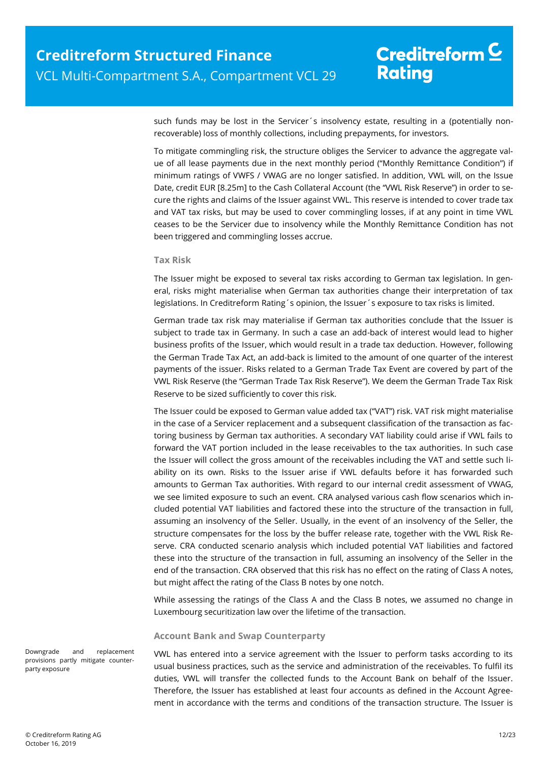such funds may be lost in the Servicer´s insolvency estate, resulting in a (potentially nonrecoverable) loss of monthly collections, including prepayments, for investors.

To mitigate commingling risk, the structure obliges the Servicer to advance the aggregate value of all lease payments due in the next monthly period ("Monthly Remittance Condition") if minimum ratings of VWFS / VWAG are no longer satisfied. In addition, VWL will, on the Issue Date, credit EUR [8.25m] to the Cash Collateral Account (the "VWL Risk Reserve") in order to secure the rights and claims of the Issuer against VWL. This reserve is intended to cover trade tax and VAT tax risks, but may be used to cover commingling losses, if at any point in time VWL ceases to be the Servicer due to insolvency while the Monthly Remittance Condition has not been triggered and commingling losses accrue.

#### **Tax Risk**

The Issuer might be exposed to several tax risks according to German tax legislation. In general, risks might materialise when German tax authorities change their interpretation of tax legislations. In Creditreform Rating's opinion, the Issuer's exposure to tax risks is limited.

German trade tax risk may materialise if German tax authorities conclude that the Issuer is subject to trade tax in Germany. In such a case an add-back of interest would lead to higher business profits of the Issuer, which would result in a trade tax deduction. However, following the German Trade Tax Act, an add-back is limited to the amount of one quarter of the interest payments of the issuer. Risks related to a German Trade Tax Event are covered by part of the VWL Risk Reserve (the "German Trade Tax Risk Reserve"). We deem the German Trade Tax Risk Reserve to be sized sufficiently to cover this risk.

The Issuer could be exposed to German value added tax ("VAT") risk. VAT risk might materialise in the case of a Servicer replacement and a subsequent classification of the transaction as factoring business by German tax authorities. A secondary VAT liability could arise if VWL fails to forward the VAT portion included in the lease receivables to the tax authorities. In such case the Issuer will collect the gross amount of the receivables including the VAT and settle such liability on its own. Risks to the Issuer arise if VWL defaults before it has forwarded such amounts to German Tax authorities. With regard to our internal credit assessment of VWAG, we see limited exposure to such an event. CRA analysed various cash flow scenarios which included potential VAT liabilities and factored these into the structure of the transaction in full, assuming an insolvency of the Seller. Usually, in the event of an insolvency of the Seller, the structure compensates for the loss by the buffer release rate, together with the VWL Risk Reserve. CRA conducted scenario analysis which included potential VAT liabilities and factored these into the structure of the transaction in full, assuming an insolvency of the Seller in the end of the transaction. CRA observed that this risk has no effect on the rating of Class A notes, but might affect the rating of the Class B notes by one notch.

While assessing the ratings of the Class A and the Class B notes, we assumed no change in Luxembourg securitization law over the lifetime of the transaction.

#### **Account Bank and Swap Counterparty**

VWL has entered into a service agreement with the Issuer to perform tasks according to its usual business practices, such as the service and administration of the receivables. To fulfil its duties, VWL will transfer the collected funds to the Account Bank on behalf of the Issuer. Therefore, the Issuer has established at least four accounts as defined in the Account Agreement in accordance with the terms and conditions of the transaction structure. The Issuer is

Downgrade and replacement provisions partly mitigate counterparty exposure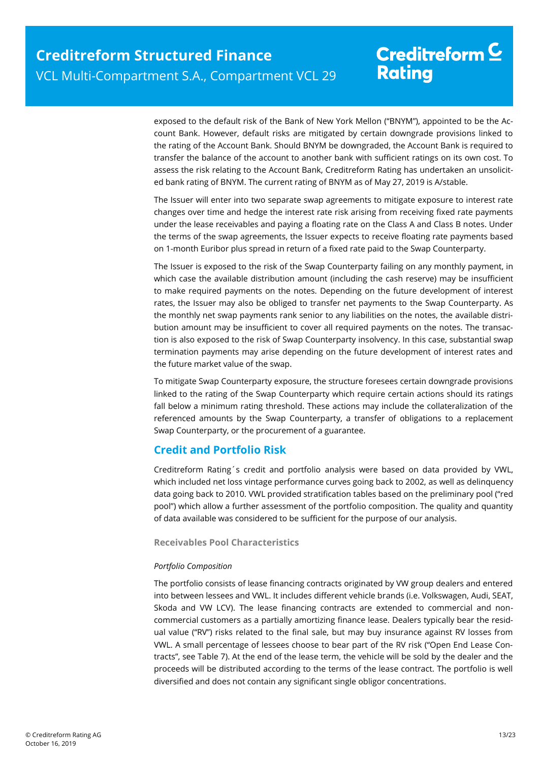exposed to the default risk of the Bank of New York Mellon ("BNYM"), appointed to be the Account Bank. However, default risks are mitigated by certain downgrade provisions linked to the rating of the Account Bank. Should BNYM be downgraded, the Account Bank is required to transfer the balance of the account to another bank with sufficient ratings on its own cost. To assess the risk relating to the Account Bank, Creditreform Rating has undertaken an unsolicited bank rating of BNYM. The current rating of BNYM as of May 27, 2019 is A/stable.

The Issuer will enter into two separate swap agreements to mitigate exposure to interest rate changes over time and hedge the interest rate risk arising from receiving fixed rate payments under the lease receivables and paying a floating rate on the Class A and Class B notes. Under the terms of the swap agreements, the Issuer expects to receive floating rate payments based on 1-month Euribor plus spread in return of a fixed rate paid to the Swap Counterparty.

The Issuer is exposed to the risk of the Swap Counterparty failing on any monthly payment, in which case the available distribution amount (including the cash reserve) may be insufficient to make required payments on the notes. Depending on the future development of interest rates, the Issuer may also be obliged to transfer net payments to the Swap Counterparty. As the monthly net swap payments rank senior to any liabilities on the notes, the available distribution amount may be insufficient to cover all required payments on the notes. The transaction is also exposed to the risk of Swap Counterparty insolvency. In this case, substantial swap termination payments may arise depending on the future development of interest rates and the future market value of the swap.

To mitigate Swap Counterparty exposure, the structure foresees certain downgrade provisions linked to the rating of the Swap Counterparty which require certain actions should its ratings fall below a minimum rating threshold. These actions may include the collateralization of the referenced amounts by the Swap Counterparty, a transfer of obligations to a replacement Swap Counterparty, or the procurement of a guarantee.

### <span id="page-12-0"></span>**Credit and Portfolio Risk**

Creditreform Rating´s credit and portfolio analysis were based on data provided by VWL, which included net loss vintage performance curves going back to 2002, as well as delinquency data going back to 2010. VWL provided stratification tables based on the preliminary pool ("red pool") which allow a further assessment of the portfolio composition. The quality and quantity of data available was considered to be sufficient for the purpose of our analysis.

### **Receivables Pool Characteristics**

### *Portfolio Composition*

The portfolio consists of lease financing contracts originated by VW group dealers and entered into between lessees and VWL. It includes different vehicle brands (i.e. Volkswagen, Audi, SEAT, Skoda and VW LCV). The lease financing contracts are extended to commercial and noncommercial customers as a partially amortizing finance lease. Dealers typically bear the residual value ("RV") risks related to the final sale, but may buy insurance against RV losses from VWL. A small percentage of lessees choose to bear part of the RV risk ("Open End Lease Contracts", see [Table 7\)](#page-13-0). At the end of the lease term, the vehicle will be sold by the dealer and the proceeds will be distributed according to the terms of the lease contract. The portfolio is well diversified and does not contain any significant single obligor concentrations.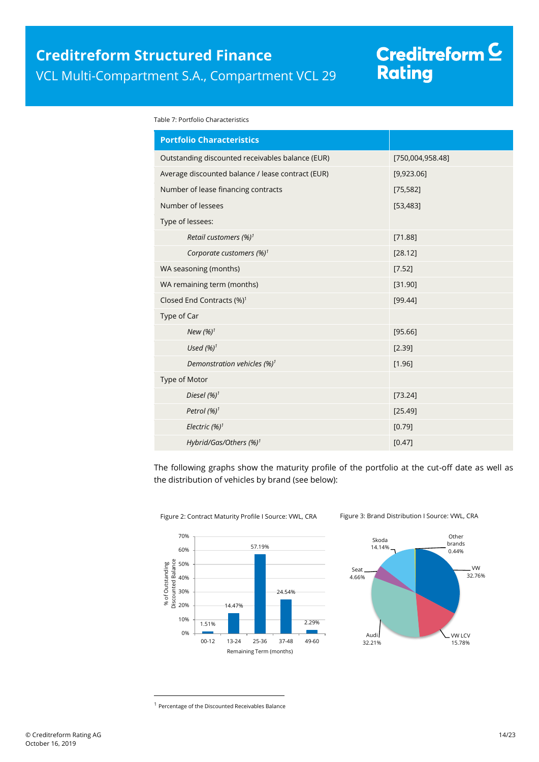# Creditreform C<br>Rating

<span id="page-13-0"></span>Table 7: Portfolio Characteristics

| <b>Portfolio Characteristics</b>                  |                  |  |
|---------------------------------------------------|------------------|--|
| Outstanding discounted receivables balance (EUR)  | [750,004,958.48] |  |
| Average discounted balance / lease contract (EUR) | [9,923.06]       |  |
| Number of lease financing contracts               | [75, 582]        |  |
| Number of lessees                                 | [53, 483]        |  |
| Type of lessees:                                  |                  |  |
| Retail customers (%) <sup>1</sup>                 | [71.88]          |  |
| Corporate customers $(\%)^1$                      | [28.12]          |  |
| WA seasoning (months)                             | [7.52]           |  |
| WA remaining term (months)                        | [31.90]          |  |
| Closed End Contracts (%) <sup>1</sup>             | [99.44]          |  |
| Type of Car                                       |                  |  |
| New $(%)1$                                        | [95.66]          |  |
| Used $(%)1$                                       | [2.39]           |  |
| Demonstration vehicles (%) <sup>1</sup>           | [1.96]           |  |
| Type of Motor                                     |                  |  |
| Diesel $(%)^1$                                    | [73.24]          |  |
| Petrol (%) <sup>1</sup>                           | [25.49]          |  |
| Electric (%) <sup>1</sup>                         | [0.79]           |  |
| Hybrid/Gas/Others (%) <sup>1</sup>                | [0.47]           |  |

The following graphs show the maturity profile of the portfolio at the cut-off date as well as the distribution of vehicles by brand (see below):





Figure 2: Contract Maturity Profile I Source: VWL, CRA Figure 3: Brand Distribution I Source: VWL, CRA

 $\overline{a}$ 

<sup>&</sup>lt;sup>1</sup> Percentage of the Discounted Receivables Balance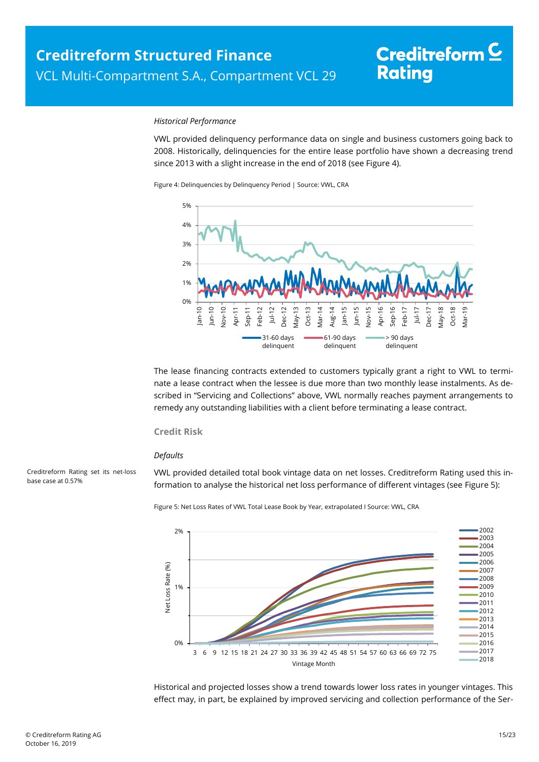#### *Historical Performance*

VWL provided delinquency performance data on single and business customers going back to 2008. Historically, delinquencies for the entire lease portfolio have shown a decreasing trend since 2013 with a slight increase in the end of 2018 (see [Figure 4\)](#page-14-0).

<span id="page-14-0"></span>Figure 4: Delinquencies by Delinquency Period | Source: VWL, CRA



The lease financing contracts extended to customers typically grant a right to VWL to terminate a lease contract when the lessee is due more than two monthly lease instalments. As described in "[Servicing and Collections](#page-9-0)" above, VWL normally reaches payment arrangements to remedy any outstanding liabilities with a client before terminating a lease contract.

### **Credit Risk**

#### *Defaults*

<span id="page-14-1"></span>Creditreform Rating set its net-loss base case at 0.57%

VWL provided detailed total book vintage data on net losses. Creditreform Rating used this information to analyse the historical net loss performance of different vintages (se[e Figure 5\):](#page-14-1)

Figure 5: Net Loss Rates of VWL Total Lease Book by Year, extrapolated I Source: VWL, CRA



Historical and projected losses show a trend towards lower loss rates in younger vintages. This effect may, in part, be explained by improved servicing and collection performance of the Ser-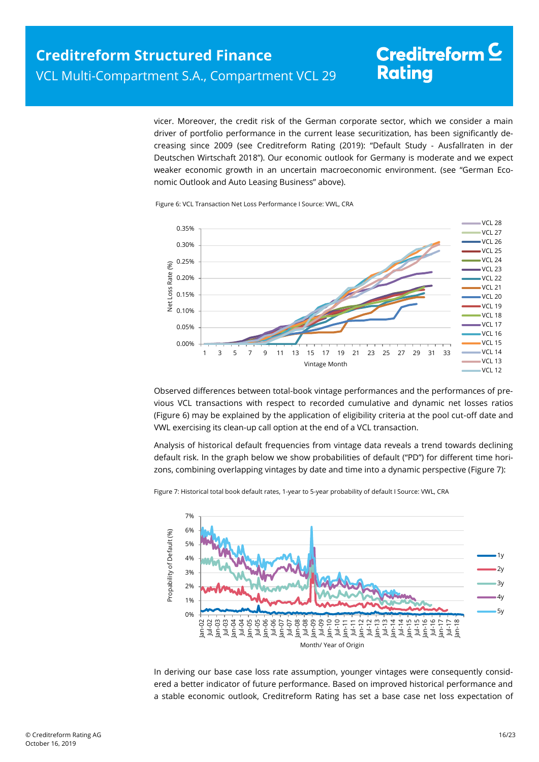vicer. Moreover, the credit risk of the German corporate sector, which we consider a main driver of portfolio performance in the current lease securitization, has been significantly decreasing since 2009 (see Creditreform Rating (2019): "Default Study - Ausfallraten in der Deutschen Wirtschaft 2018"). Our economic outlook for Germany is moderate and we expect weaker economic growth in an uncertain macroeconomic environment. (see "German Economic Outlook and Auto Leasing Business" above).

<span id="page-15-0"></span>



Observed differences between total-book vintage performances and the performances of previous VCL transactions with respect to recorded cumulative and dynamic net losses ratios [\(Figure 6\)](#page-15-0) may be explained by the application of eligibility criteria at the pool cut-off date and VWL exercising its clean-up call option at the end of a VCL transaction.

Analysis of historical default frequencies from vintage data reveals a trend towards declining default risk. In the graph below we show probabilities of default ("PD") for different time horizons, combining overlapping vintages by date and time into a dynamic perspective [\(Figure 7\)](#page-15-1):



<span id="page-15-1"></span>Figure 7: Historical total book default rates, 1-year to 5-year probability of default I Source: VWL, CRA

In deriving our base case loss rate assumption, younger vintages were consequently considered a better indicator of future performance. Based on improved historical performance and a stable economic outlook, Creditreform Rating has set a base case net loss expectation of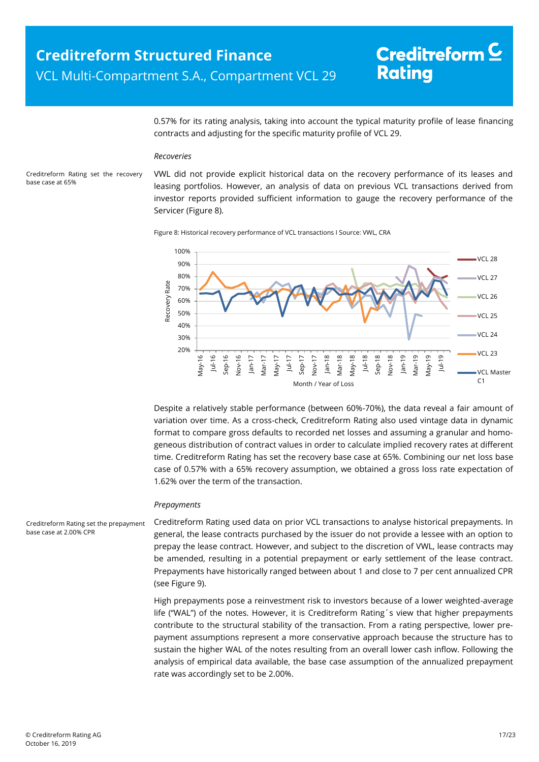0.57% for its rating analysis, taking into account the typical maturity profile of lease financing contracts and adjusting for the specific maturity profile of VCL 29.

#### *Recoveries*

<span id="page-16-0"></span>Creditreform Rating set the recovery base case at 65%

VWL did not provide explicit historical data on the recovery performance of its leases and leasing portfolios. However, an analysis of data on previous VCL transactions derived from investor reports provided sufficient information to gauge the recovery performance of the Servicer [\(Figure 8\)](#page-16-0).

Figure 8: Historical recovery performance of VCL transactions I Source: VWL, CRA



Despite a relatively stable performance (between 60%-70%), the data reveal a fair amount of variation over time. As a cross-check, Creditreform Rating also used vintage data in dynamic format to compare gross defaults to recorded net losses and assuming a granular and homogeneous distribution of contract values in order to calculate implied recovery rates at different time. Creditreform Rating has set the recovery base case at 65%. Combining our net loss base case of 0.57% with a 65% recovery assumption, we obtained a gross loss rate expectation of 1.62% over the term of the transaction.

#### *Prepayments*

Creditreform Rating used data on prior VCL transactions to analyse historical prepayments. In general, the lease contracts purchased by the issuer do not provide a lessee with an option to prepay the lease contract. However, and subject to the discretion of VWL, lease contracts may be amended, resulting in a potential prepayment or early settlement of the lease contract. Prepayments have historically ranged between about 1 and close to 7 per cent annualized CPR (se[e Figure 9\)](#page-17-1). Creditreform Rating set the prepayment base case at 2.00% CPR

> High prepayments pose a reinvestment risk to investors because of a lower weighted-average life ("WAL") of the notes. However, it is Creditreform Rating´s view that higher prepayments contribute to the structural stability of the transaction. From a rating perspective, lower prepayment assumptions represent a more conservative approach because the structure has to sustain the higher WAL of the notes resulting from an overall lower cash inflow. Following the analysis of empirical data available, the base case assumption of the annualized prepayment rate was accordingly set to be 2.00%.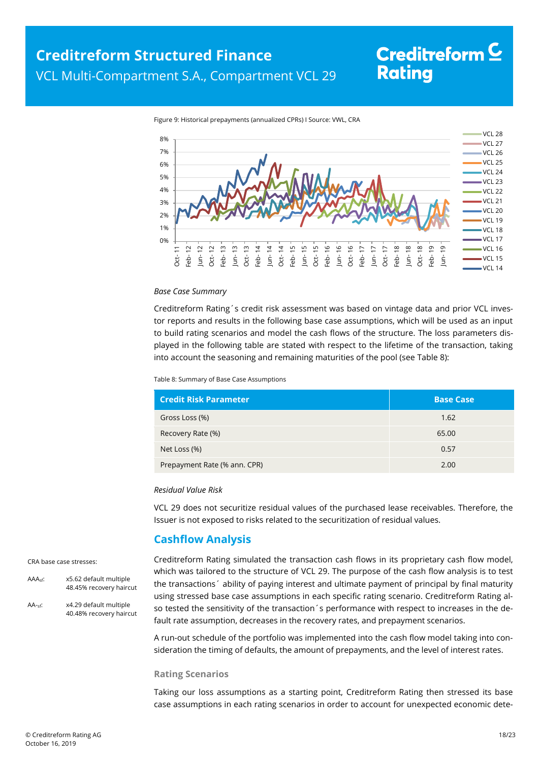<span id="page-17-1"></span>



#### *Base Case Summary*

Creditreform Rating´s credit risk assessment was based on vintage data and prior VCL investor reports and results in the following base case assumptions, which will be used as an input to build rating scenarios and model the cash flows of the structure. The loss parameters displayed in the following table are stated with respect to the lifetime of the transaction, taking into account the seasoning and remaining maturities of the pool (see [Table 8\):](#page-17-2)

<span id="page-17-2"></span>Table 8: Summary of Base Case Assumptions

| <b>Credit Risk Parameter</b> | <b>Base Case</b> |
|------------------------------|------------------|
| Gross Loss (%)               | 1.62             |
| Recovery Rate (%)            | 65.00            |
| Net Loss (%)                 | 0.57             |
| Prepayment Rate (% ann. CPR) | 2.00             |

#### *Residual Value Risk*

VCL 29 does not securitize residual values of the purchased lease receivables. Therefore, the Issuer is not exposed to risks related to the securitization of residual values.

### **Cashflow Analysis**

#### <span id="page-17-0"></span>CRA base case stresses:

- AAAsf: x5.62 default multiple 48.45% recovery haircut
- AA-sf: x4.29 default multiple 40.48% recovery haircut

Creditreform Rating simulated the transaction cash flows in its proprietary cash flow model, which was tailored to the structure of VCL 29. The purpose of the cash flow analysis is to test the transactions´ ability of paying interest and ultimate payment of principal by final maturity using stressed base case assumptions in each specific rating scenario. Creditreform Rating also tested the sensitivity of the transaction's performance with respect to increases in the default rate assumption, decreases in the recovery rates, and prepayment scenarios.

A run-out schedule of the portfolio was implemented into the cash flow model taking into consideration the timing of defaults, the amount of prepayments, and the level of interest rates.

#### **Rating Scenarios**

Taking our loss assumptions as a starting point, Creditreform Rating then stressed its base case assumptions in each rating scenarios in order to account for unexpected economic dete-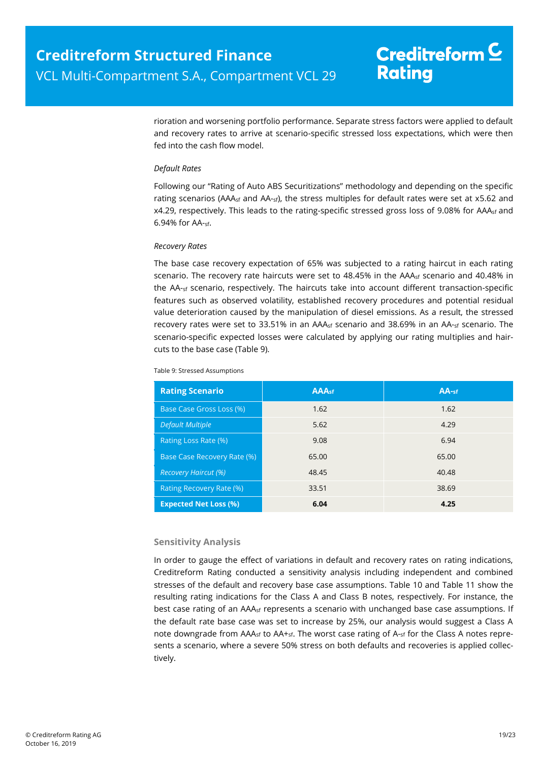rioration and worsening portfolio performance. Separate stress factors were applied to default and recovery rates to arrive at scenario-specific stressed loss expectations, which were then fed into the cash flow model.

### *Default Rates*

Following our "Rating of Auto ABS Securitizations" methodology and depending on the specific rating scenarios (AAA<sub>sf</sub> and AA-sf), the stress multiples for default rates were set at x5.62 and x4.29, respectively. This leads to the rating-specific stressed gross loss of 9.08% for AAAsf and 6.94% for AA-sf.

### *Recovery Rates*

The base case recovery expectation of 65% was subjected to a rating haircut in each rating scenario. The recovery rate haircuts were set to 48.45% in the AAA<sub>sf</sub> scenario and 40.48% in the AA-sf scenario, respectively. The haircuts take into account different transaction-specific features such as observed volatility, established recovery procedures and potential residual value deterioration caused by the manipulation of diesel emissions. As a result, the stressed recovery rates were set to 33.51% in an AAA<sub>sf</sub> scenario and 38.69% in an AA-sf scenario. The scenario-specific expected losses were calculated by applying our rating multiplies and haircuts to the base case [\(Table 9\)](#page-18-0).

| Table 9: Stressed Assumptions |  |
|-------------------------------|--|
|                               |  |

<span id="page-18-0"></span>

| <b>Rating Scenario</b>       | <b>AAAst</b> | $AA-sf$ |
|------------------------------|--------------|---------|
| Base Case Gross Loss (%)     | 1.62         | 1.62    |
| <b>Default Multiple</b>      | 5.62         | 4.29    |
| Rating Loss Rate (%)         | 9.08         | 6.94    |
| Base Case Recovery Rate (%)  | 65.00        | 65.00   |
| <b>Recovery Haircut (%)</b>  | 48.45        | 40.48   |
| Rating Recovery Rate (%)     | 33.51        | 38.69   |
| <b>Expected Net Loss (%)</b> | 6.04         | 4.25    |

### **Sensitivity Analysis**

In order to gauge the effect of variations in default and recovery rates on rating indications, Creditreform Rating conducted a sensitivity analysis including independent and combined stresses of the default and recovery base case assumptions. [Table 10](#page-19-1) and [Table 11](#page-19-2) show the resulting rating indications for the Class A and Class B notes, respectively. For instance, the best case rating of an AAA<sub>sf</sub> represents a scenario with unchanged base case assumptions. If the default rate base case was set to increase by 25%, our analysis would suggest a Class A note downgrade from  $AA_{\text{Sf}}$  to  $AA_{\text{fsf}}$ . The worst case rating of  $A_{\text{fsf}}$  for the Class A notes represents a scenario, where a severe 50% stress on both defaults and recoveries is applied collectively.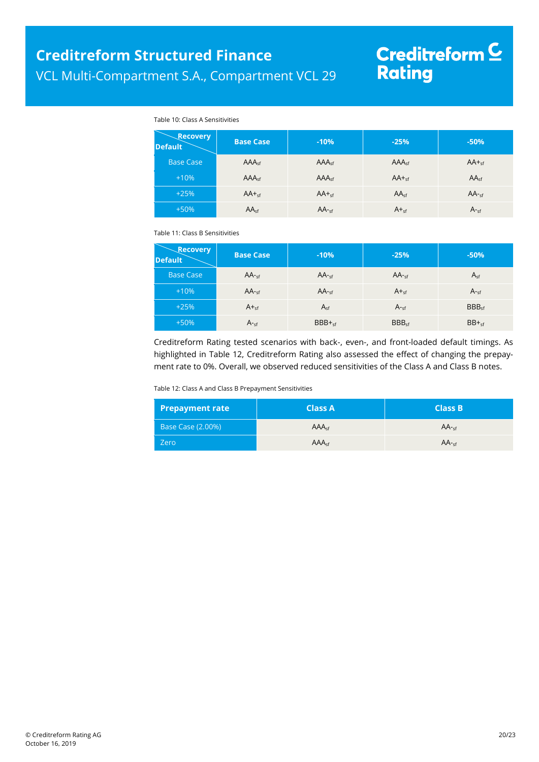# Creditreform <mark>C</mark><br>Rating

#### Table 10: Class A Sensitivities

<span id="page-19-1"></span>

| <b>Recovery</b><br><b>Default</b> | <b>Base Case</b>  | $-10%$            | $-25%$            | $-50%$           |
|-----------------------------------|-------------------|-------------------|-------------------|------------------|
| <b>Base Case</b>                  | AAA <sub>cf</sub> | AAA <sub>cf</sub> | AAA <sub>cf</sub> | $AA +_{sf}$      |
| $+10%$                            | AAA <sub>sf</sub> | AAA <sub>sf</sub> | $AA +sf$          | AA <sub>sf</sub> |
| $+25%$                            | $AA +sf$          | $AA +sf$          | AA <sub>sf</sub>  | $AA$ -sf         |
| $+50%$                            | AA <sub>sf</sub>  | $AA$ -sf          | $A +sf$           | A <sub>sf</sub>  |

<span id="page-19-2"></span>Table 11: Class B Sensitivities

| <b>Recovery</b><br><b>Default</b> | <b>Base Case</b> | $-10%$    | $-25%$            | $-50%$            |
|-----------------------------------|------------------|-----------|-------------------|-------------------|
| <b>Base Case</b>                  | $AA -sf$         | $AA -cf$  | $AA -sf$          | $A_{sf}$          |
| $+10%$                            | $AA$ -sf         | $AA$ -sf  | $A +sf$           | $A_{\text{cf}}$   |
| $+25%$                            | $A_{\text{sf}}$  | $A_{sf}$  | $A_{\text{cf}}$   | BBB <sub>cf</sub> |
| $+50%$                            | $A_{\text{sf}}$  | $BBB +sf$ | BBB <sub>sf</sub> | $BB +sf$          |

Creditreform Rating tested scenarios with back-, even-, and front-loaded default timings. As highlighted in [Table 12,](#page-19-3) Creditreform Rating also assessed the effect of changing the prepayment rate to 0%. Overall, we observed reduced sensitivities of the Class A and Class B notes.

<span id="page-19-3"></span>Table 12: Class A and Class B Prepayment Sensitivities

<span id="page-19-0"></span>

| <b>Prepayment rate</b>   | <b>Class A</b>    | <b>Class B</b> |
|--------------------------|-------------------|----------------|
| <b>Base Case (2.00%)</b> | AAA <sub>cf</sub> | $AA -cf$       |
| Zero                     | AAA <sub>cf</sub> | $AA -cf$       |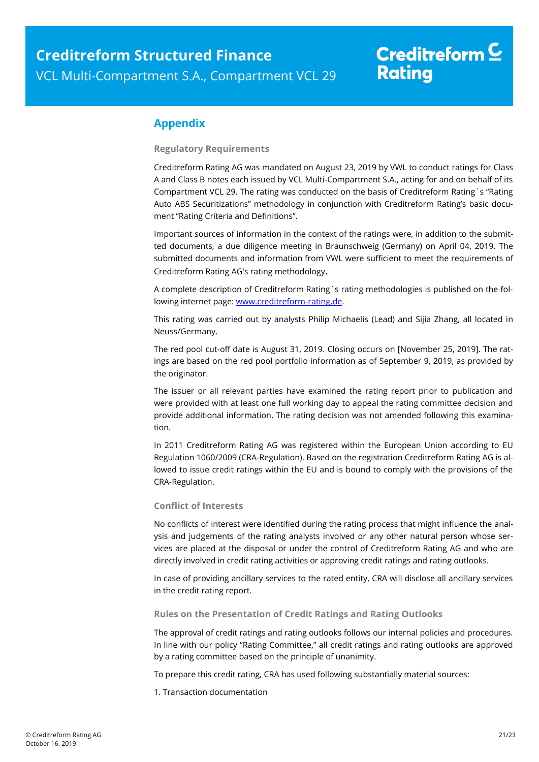### **Appendix**

**Regulatory Requirements**

Creditreform Rating AG was mandated on August 23, 2019 by VWL to conduct ratings for Class A and Class B notes each issued by VCL Multi-Compartment S.A., acting for and on behalf of its Compartment VCL 29. The rating was conducted on the basis of Creditreform Rating´s "Rating Auto ABS Securitizations" methodology in conjunction with Creditreform Rating's basic document "Rating Criteria and Definitions".

Important sources of information in the context of the ratings were, in addition to the submitted documents, a due diligence meeting in Braunschweig (Germany) on April 04, 2019. The submitted documents and information from VWL were sufficient to meet the requirements of Creditreform Rating AG's rating methodology.

A complete description of Creditreform Rating´s rating methodologies is published on the following internet page: [www.creditreform-rating.de.](http://www.creditreform-rating.de/)

This rating was carried out by analysts Philip Michaelis (Lead) and Sijia Zhang, all located in Neuss/Germany.

The red pool cut-off date is August 31, 2019. Closing occurs on [November 25, 2019]. The ratings are based on the red pool portfolio information as of September 9, 2019, as provided by the originator.

The issuer or all relevant parties have examined the rating report prior to publication and were provided with at least one full working day to appeal the rating committee decision and provide additional information. The rating decision was not amended following this examination.

In 2011 Creditreform Rating AG was registered within the European Union according to EU Regulation 1060/2009 (CRA-Regulation). Based on the registration Creditreform Rating AG is allowed to issue credit ratings within the EU and is bound to comply with the provisions of the CRA-Regulation.

### **Conflict of Interests**

No conflicts of interest were identified during the rating process that might influence the analysis and judgements of the rating analysts involved or any other natural person whose services are placed at the disposal or under the control of Creditreform Rating AG and who are directly involved in credit rating activities or approving credit ratings and rating outlooks.

In case of providing ancillary services to the rated entity, CRA will disclose all ancillary services in the credit rating report.

### **Rules on the Presentation of Credit Ratings and Rating Outlooks**

The approval of credit ratings and rating outlooks follows our internal policies and procedures. In line with our policy "Rating Committee," all credit ratings and rating outlooks are approved by a rating committee based on the principle of unanimity.

To prepare this credit rating, CRA has used following substantially material sources:

1. Transaction documentation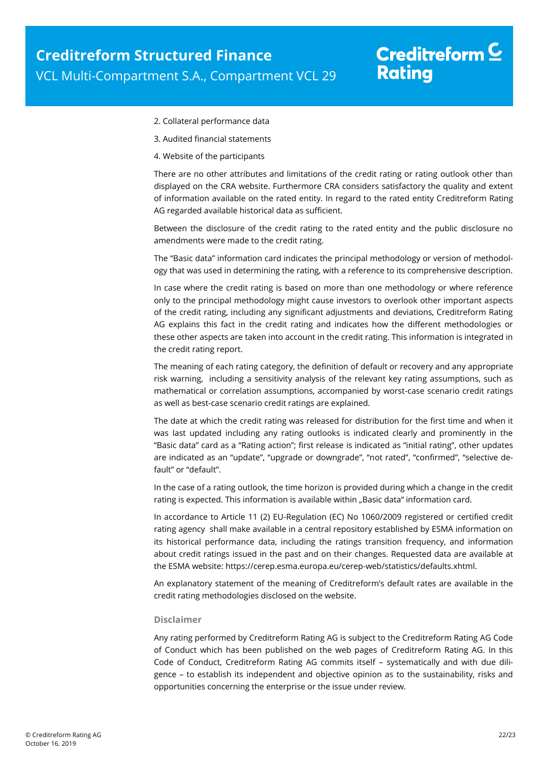- 2. Collateral performance data
- 3. Audited financial statements
- 4. Website of the participants

There are no other attributes and limitations of the credit rating or rating outlook other than displayed on the CRA website. Furthermore CRA considers satisfactory the quality and extent of information available on the rated entity. In regard to the rated entity Creditreform Rating AG regarded available historical data as sufficient.

Between the disclosure of the credit rating to the rated entity and the public disclosure no amendments were made to the credit rating.

The "Basic data" information card indicates the principal methodology or version of methodology that was used in determining the rating, with a reference to its comprehensive description.

In case where the credit rating is based on more than one methodology or where reference only to the principal methodology might cause investors to overlook other important aspects of the credit rating, including any significant adjustments and deviations, Creditreform Rating AG explains this fact in the credit rating and indicates how the different methodologies or these other aspects are taken into account in the credit rating. This information is integrated in the credit rating report.

The meaning of each rating category, the definition of default or recovery and any appropriate risk warning, including a sensitivity analysis of the relevant key rating assumptions, such as mathematical or correlation assumptions, accompanied by worst-case scenario credit ratings as well as best-case scenario credit ratings are explained.

The date at which the credit rating was released for distribution for the first time and when it was last updated including any rating outlooks is indicated clearly and prominently in the "Basic data" card as a "Rating action"; first release is indicated as "initial rating", other updates are indicated as an "update", "upgrade or downgrade", "not rated", "confirmed", "selective default" or "default".

In the case of a rating outlook, the time horizon is provided during which a change in the credit rating is expected. This information is available within "Basic data" information card.

In accordance to Article 11 (2) EU-Regulation (EC) No 1060/2009 registered or certified credit rating agency shall make available in a central repository established by ESMA information on its historical performance data, including the ratings transition frequency, and information about credit ratings issued in the past and on their changes. Requested data are available at the ESMA website: https://cerep.esma.europa.eu/cerep-web/statistics/defaults.xhtml.

An explanatory statement of the meaning of Creditreform's default rates are available in the credit rating methodologies disclosed on the website.

#### **Disclaimer**

Any rating performed by Creditreform Rating AG is subject to the Creditreform Rating AG Code of Conduct which has been published on the web pages of Creditreform Rating AG. In this Code of Conduct, Creditreform Rating AG commits itself – systematically and with due diligence – to establish its independent and objective opinion as to the sustainability, risks and opportunities concerning the enterprise or the issue under review.